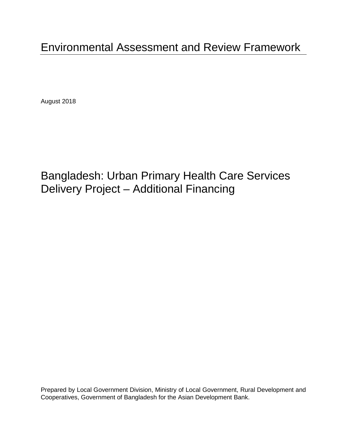# Environmental Assessment and Review Framework

August 2018

# Bangladesh: Urban Primary Health Care Services Delivery Project – Additional Financing

Prepared by Local Government Division, Ministry of Local Government, Rural Development and Cooperatives, Government of Bangladesh for the Asian Development Bank.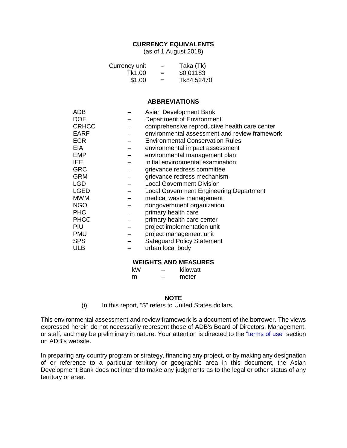## **CURRENCY EQUIVALENTS**

(as of 1 August 2018)

| Currency unit |     | Taka (Tk)  |
|---------------|-----|------------|
| Tk1.00        | $=$ | \$0.01183  |
| \$1.00        | $=$ | Tk84.52470 |

#### **ABBREVIATIONS**

| Asian Development Bank                        |
|-----------------------------------------------|
| Department of Environment                     |
| comprehensive reproductive health care center |
| environmental assessment and review framework |
| <b>Environmental Conservation Rules</b>       |
| environmental impact assessment               |
| environmental management plan                 |
| Initial environmental examination             |
| grievance redress committee                   |
| grievance redress mechanism                   |
| <b>Local Government Division</b>              |
| Local Government Engineering Department       |
| medical waste management                      |
| nongovernment organization                    |
| primary health care                           |
| primary health care center                    |
| project implementation unit                   |
| project management unit                       |
| <b>Safeguard Policy Statement</b>             |
| urban local body                              |
|                                               |

#### **WEIGHTS AND MEASURES**

| kW | kilowatt |
|----|----------|
| m  | meter    |

#### **NOTE**

(i) In this report, "\$" refers to United States dollars.

This environmental assessment and review framework is a document of the borrower. The views expressed herein do not necessarily represent those of ADB's Board of Directors, Management, or staff, and may be preliminary in nature. Your attention is directed to the ["terms of use"](http://www.adb.org/terms-use) section on ADB's website.

In preparing any country program or strategy, financing any project, or by making any designation of or reference to a particular territory or geographic area in this document, the Asian Development Bank does not intend to make any judgments as to the legal or other status of any territory or area.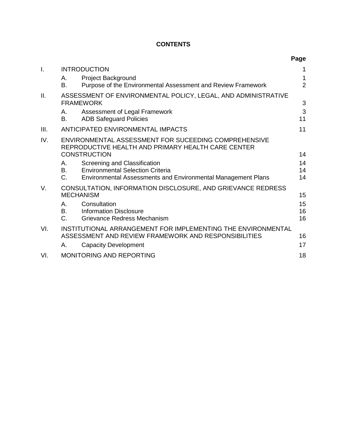## **CONTENTS**

|      |               |                                                                                                                      | Page           |
|------|---------------|----------------------------------------------------------------------------------------------------------------------|----------------|
| I.   |               | <b>INTRODUCTION</b>                                                                                                  | 1              |
|      | Α.            | <b>Project Background</b>                                                                                            | 1              |
|      | B.            | Purpose of the Environmental Assessment and Review Framework                                                         | $\overline{2}$ |
| ΙΙ.  |               | ASSESSMENT OF ENVIRONMENTAL POLICY, LEGAL, AND ADMINISTRATIVE                                                        |                |
|      |               | <b>FRAMEWORK</b>                                                                                                     | 3              |
|      | А.            | Assessment of Legal Framework                                                                                        | 3              |
|      | В.            | <b>ADB Safeguard Policies</b>                                                                                        | 11             |
| III. |               | ANTICIPATED ENVIRONMENTAL IMPACTS                                                                                    | 11             |
| IV.  |               | ENVIRONMENTAL ASSESSMENT FOR SUCEEDING COMPREHENSIVE<br>REPRODUCTIVE HEALTH AND PRIMARY HEALTH CARE CENTER           |                |
|      |               | <b>CONSTRUCTION</b>                                                                                                  | 14             |
|      | А.            | Screening and Classification                                                                                         | 14             |
|      | B.            | <b>Environmental Selection Criteria</b>                                                                              | 14             |
|      | $C_{\cdot}$   | Environmental Assessments and Environmental Management Plans                                                         | 14             |
| V.   |               | CONSULTATION, INFORMATION DISCLOSURE, AND GRIEVANCE REDRESS                                                          |                |
|      |               | <b>MECHANISM</b>                                                                                                     | 15             |
|      | А.            | Consultation                                                                                                         | 15             |
|      | В.<br>$C_{-}$ | <b>Information Disclosure</b><br>Grievance Redress Mechanism                                                         | 16<br>16       |
|      |               |                                                                                                                      |                |
| VI.  |               | INSTITUTIONAL ARRANGEMENT FOR IMPLEMENTING THE ENVIRONMENTAL<br>ASSESSMENT AND REVIEW FRAMEWORK AND RESPONSIBILITIES | 16             |
|      | А.            | <b>Capacity Development</b>                                                                                          | 17             |
| VI.  |               | <b>MONITORING AND REPORTING</b>                                                                                      | 18             |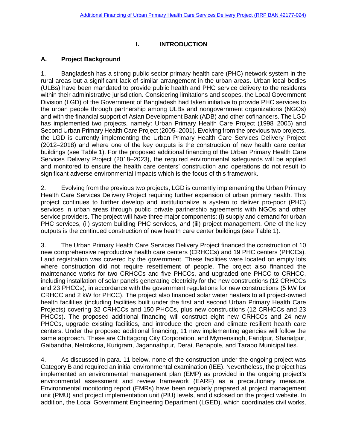## <span id="page-4-0"></span>**I. INTRODUCTION**

## <span id="page-4-1"></span>**A. Project Background**

1. Bangladesh has a strong public sector primary health care (PHC) network system in the rural areas but a significant lack of similar arrangement in the urban areas. Urban local bodies (ULBs) have been mandated to provide public health and PHC service delivery to the residents within their administrative jurisdiction. Considering limitations and scopes, the Local Government Division (LGD) of the Government of Bangladesh had taken initiative to provide PHC services to the urban people through partnership among ULBs and nongovernment organizations (NGOs) and with the financial support of Asian Development Bank (ADB) and other cofinancers. The LGD has implemented two projects, namely: Urban Primary Health Care Project (1998–2005) and Second Urban Primary Health Care Project (2005–2001). Evolving from the previous two projects, the LGD is currently implementing the Urban Primary Health Care Services Delivery Project (2012–2018) and where one of the key outputs is the construction of new health care center buildings (see Table 1). For the proposed additional financing of the Urban Primary Health Care Services Delivery Project (2018–2023), the required environmental safeguards will be applied and monitored to ensure the health care centers' construction and operations do not result to significant adverse environmental impacts which is the focus of this framework.

2. Evolving from the previous two projects, LGD is currently implementing the Urban Primary Health Care Services Delivery Project requiring further expansion of urban primary health. This project continues to further develop and institutionalize a system to deliver pro-poor (PHC) services in urban areas through public–private partnership agreements with NGOs and other service providers. The project will have three major components: (i) supply and demand for urban PHC services, (ii) system building PHC services, and (iii) project management. One of the key outputs is the continued construction of new health care center buildings (see Table 1).

3. The Urban Primary Health Care Services Delivery Project financed the construction of 10 new comprehensive reproductive health care centers (CRHCCs) and 19 PHC centers (PHCCs). Land registration was covered by the government. These facilities were located on empty lots where construction did not require resettlement of people. The project also financed the maintenance works for two CRHCCs and five PHCCs, and upgraded one PHCC to CRHCC, including installation of solar panels generating electricity for the new constructions (12 CRHCCs and 23 PHCCs), in accordance with the government regulations for new constructions (5 kW for CRHCC and 2 kW for PHCC). The project also financed solar water heaters to all project-owned health facilities (including facilities built under the first and second Urban Primary Health Care Projects) covering 32 CRHCCs and 150 PHCCs, plus new constructions (12 CRHCCs and 23 PHCCs). The proposed additional financing will construct eight new CRHCCs and 24 new PHCCs, upgrade existing facilities, and introduce the green and climate resilient health care centers. Under the proposed additional financing, 11 new implementing agencies will follow the same approach. These are Chittagong City Corporation, and Mymensingh, Faridpur, Shariatpur, Gaibandha, Netrokona, Kurigram, Jagannathpur, Derai, Benapole, and Tarabo Municipalities.

4. As discussed in para. 11 below, none of the construction under the ongoing project was Category B and required an initial environmental examination (IEE). Nevertheless, the project has implemented an environmental management plan (EMP) as provided in the ongoing project's environmental assessment and review framework (EARF) as a precautionary measure. Environmental monitoring report (EMRs) have been regularly prepared at project management unit (PMU) and project implementation unit (PIU) levels, and disclosed on the project website. In addition, the Local Government Engineering Department (LGED), which coordinates civil works,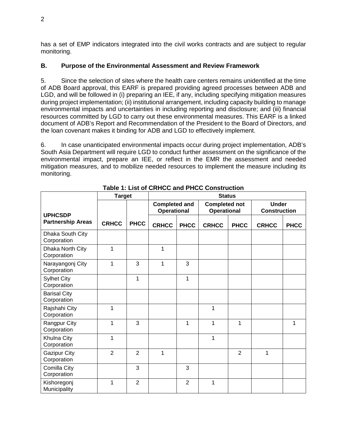has a set of EMP indicators integrated into the civil works contracts and are subject to regular monitoring.

## <span id="page-5-0"></span>**B. Purpose of the Environmental Assessment and Review Framework**

5. Since the selection of sites where the health care centers remains unidentified at the time of ADB Board approval, this EARF is prepared providing agreed processes between ADB and LGD, and will be followed in (i) preparing an IEE, if any, including specifying mitigation measures during project implementation; (ii) institutional arrangement, including capacity building to manage environmental impacts and uncertainties in including reporting and disclosure; and (iii) financial resources committed by LGD to carry out these environmental measures. This EARF is a linked document of ADB's Report and Recommendation of the President to the Board of Directors, and the loan covenant makes it binding for ADB and LGD to effectively implement.

6. In case unanticipated environmental impacts occur during project implementation, ADB's South Asia Department will require LGD to conduct further assessment on the significance of the environmental impact, prepare an IEE, or reflect in the EMR the assessment and needed mitigation measures, and to mobilize needed resources to implement the measure including its monitoring.

|                                    | <b>Target</b>  |                | <b>Status</b>                              |                |                                            |                |                                     |             |
|------------------------------------|----------------|----------------|--------------------------------------------|----------------|--------------------------------------------|----------------|-------------------------------------|-------------|
| <b>UPHCSDP</b>                     |                |                | <b>Completed and</b><br><b>Operational</b> |                | <b>Completed not</b><br><b>Operational</b> |                | <b>Under</b><br><b>Construction</b> |             |
| <b>Partnership Areas</b>           | <b>CRHCC</b>   | <b>PHCC</b>    | <b>CRHCC</b>                               | <b>PHCC</b>    | <b>CRHCC</b>                               | <b>PHCC</b>    | <b>CRHCC</b>                        | <b>PHCC</b> |
| Dhaka South City<br>Corporation    |                |                |                                            |                |                                            |                |                                     |             |
| Dhaka North City<br>Corporation    | 1              |                | $\mathbf{1}$                               |                |                                            |                |                                     |             |
| Narayangonj City<br>Corporation    | 1              | 3              | 1                                          | 3              |                                            |                |                                     |             |
| <b>Sylhet City</b><br>Corporation  |                | 1              |                                            | 1              |                                            |                |                                     |             |
| <b>Barisal City</b><br>Corporation |                |                |                                            |                |                                            |                |                                     |             |
| Rajshahi City<br>Corporation       | 1              |                |                                            |                | $\mathbf{1}$                               |                |                                     |             |
| Rangpur City<br>Corporation        | 1              | 3              |                                            | $\mathbf{1}$   | $\mathbf{1}$                               | $\mathbf{1}$   |                                     | 1           |
| Khulna City<br>Corporation         | 1              |                |                                            |                | 1                                          |                |                                     |             |
| <b>Gazipur City</b><br>Corporation | $\overline{2}$ | $\overline{2}$ | 1                                          |                |                                            | $\overline{2}$ | 1                                   |             |
| Comilla City<br>Corporation        |                | 3              |                                            | 3              |                                            |                |                                     |             |
| Kishoregonj<br>Municipality        | 1              | $\overline{2}$ |                                            | $\overline{2}$ | $\mathbf 1$                                |                |                                     |             |

**Table 1: List of CRHCC and PHCC Construction**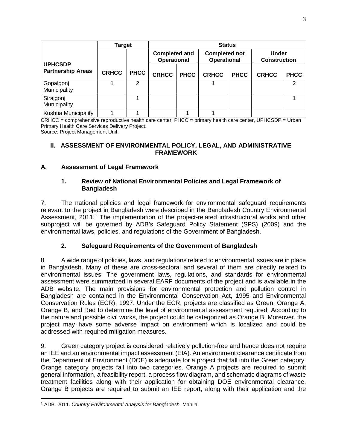|                                            | Target       |             | <b>Status</b>                              |             |                                            |             |                                     |             |
|--------------------------------------------|--------------|-------------|--------------------------------------------|-------------|--------------------------------------------|-------------|-------------------------------------|-------------|
|                                            |              |             | <b>Completed and</b><br><b>Operational</b> |             | <b>Completed not</b><br><b>Operational</b> |             | <b>Under</b><br><b>Construction</b> |             |
| <b>UPHCSDP</b><br><b>Partnership Areas</b> | <b>CRHCC</b> | <b>PHCC</b> | <b>CRHCC</b>                               | <b>PHCC</b> | <b>CRHCC</b>                               | <b>PHCC</b> | <b>CRHCC</b>                        | <b>PHCC</b> |
| Gopalgonj<br>Municipality                  |              | 2           |                                            |             |                                            |             |                                     | 2           |
| Sirajgonj<br>Municipality                  |              |             |                                            |             |                                            |             |                                     |             |
| Kushtia Municipality                       |              |             |                                            |             |                                            |             |                                     |             |

CRHCC = comprehensive reproductive health care center, PHCC = primary health care center, UPHCSDP = Urban Primary Health Care Services Delivery Project. Source: Project Management Unit.

## <span id="page-6-0"></span>**II. ASSESSMENT OF ENVIRONMENTAL POLICY, LEGAL, AND ADMINISTRATIVE FRAMEWORK**

## **A. Assessment of Legal Framework**

## **1. Review of National Environmental Policies and Legal Framework of Bangladesh**

7. The national policies and legal framework for environmental safeguard requirements relevant to the project in Bangladesh were described in the Bangladesh Country Environmental Assessment, 20[1](#page-6-1)1.<sup>1</sup> The implementation of the project-related infrastructural works and other subproject will be governed by ADB's Safeguard Policy Statement (SPS) (2009) and the environmental laws, policies, and regulations of the Government of Bangladesh.

## **2. Safeguard Requirements of the Government of Bangladesh**

8. A wide range of policies, laws, and regulations related to environmental issues are in place in Bangladesh. Many of these are cross-sectoral and several of them are directly related to environmental issues. The government laws, regulations, and standards for environmental assessment were summarized in several EARF documents of the project and is available in the ADB website. The main provisions for environmental protection and pollution control in Bangladesh are contained in the Environmental Conservation Act, 1995 and Environmental Conservation Rules (ECR), 1997. Under the ECR, projects are classified as Green, Orange A, Orange B, and Red to determine the level of environmental assessment required. According to the nature and possible civil works, the project could be categorized as Orange B. Moreover, the project may have some adverse impact on environment which is localized and could be addressed with required mitigation measures.

9. Green category project is considered relatively pollution-free and hence does not require an IEE and an environmental impact assessment (EIA). An environment clearance certificate from the Department of Environment (DOE) is adequate for a project that fall into the Green category. Orange category projects fall into two categories. Orange A projects are required to submit general information, a feasibility report, a process flow diagram, and schematic diagrams of waste treatment facilities along with their application for obtaining DOE environmental clearance. Orange B projects are required to submit an IEE report, along with their application and the

<span id="page-6-1"></span>l <sup>1</sup> ADB. 2011. *Country Environmental Analysis for Bangladesh.* Manila.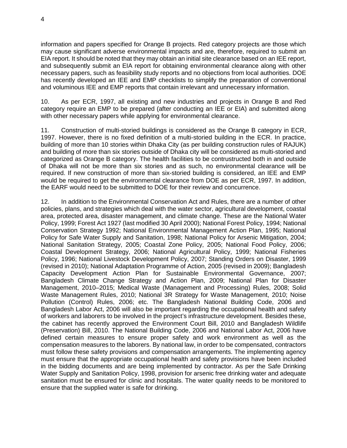information and papers specified for Orange B projects. Red category projects are those which may cause significant adverse environmental impacts and are, therefore, required to submit an EIA report. It should be noted that they may obtain an initial site clearance based on an IEE report, and subsequently submit an EIA report for obtaining environmental clearance along with other necessary papers, such as feasibility study reports and no objections from local authorities. DOE has recently developed an IEE and EMP checklists to simplify the preparation of conventional and voluminous IEE and EMP reports that contain irrelevant and unnecessary information.

10. As per ECR, 1997, all existing and new industries and projects in Orange B and Red category require an EMP to be prepared (after conducting an IEE or EIA) and submitted along with other necessary papers while applying for environmental clearance.

11. Construction of multi-storied buildings is considered as the Orange B category in ECR, 1997. However, there is no fixed definition of a multi-storied building in the ECR. In practice, building of more than 10 stories within Dhaka City (as per building construction rules of RAJUK) and building of more than six stories outside of Dhaka city will be considered as multi-storied and categorized as Orange B category. The health facilities to be contrustructed both in and outside of Dhaka will not be more than six stories and as such, no environmental clearance will be required. If new construction of more than six-storied building is considered, an IEE and EMP would be required to get the environmental clearance from DOE as per ECR, 1997. In addition, the EARF would need to be submitted to DOE for their review and concurrence.

12. In addition to the Environmental Conservation Act and Rules, there are a number of other policies, plans, and strategies which deal with the water sector, agricultural development, coastal area, protected area, disaster management, and climate change. These are the National Water Policy, 1999; Forest Act 1927 (last modified 30 April 2000); National Forest Policy, 1994; National Conservation Strategy 1992; National Environmental Management Action Plan, 1995; National Policy for Safe Water Supply and Sanitation, 1998; National Policy for Arsenic Mitigation, 2004; National Sanitation Strategy, 2005; Coastal Zone Policy, 2005; National Food Policy, 2006; Coastal Development Strategy, 2006; National Agricultural Policy, 1999; National Fisheries Policy, 1996; National Livestock Development Policy, 2007; Standing Orders on Disaster, 1999 (revised in 2010); National Adaptation Programme of Action, 2005 (revised in 2009); Bangladesh Capacity Development Action Plan for Sustainable Environmental Governance, 2007; Bangladesh Climate Change Strategy and Action Plan, 2009; National Plan for Disaster Management, 2010–2015; Medical Waste (Management and Processing) Rules, 2008; Solid Waste Management Rules, 2010; National 3R Strategy for Waste Management, 2010; Noise Pollution (Control) Rules, 2006; etc. The Bangladesh National Building Code, 2006 and Bangladesh Labor Act, 2006 will also be important regarding the occupational health and safety of workers and laborers to be involved in the project's infrastructure development. Besides these, the cabinet has recently approved the Environment Court Bill, 2010 and Bangladesh Wildlife (Preservation) Bill, 2010. The National Building Code, 2006 and National Labor Act, 2006 have defined certain measures to ensure proper safety and work environment as well as the compensation measures to the laborers. By national law, in order to be compensated, contractors must follow these safety provisions and compensation arrangements. The implementing agency must ensure that the appropriate occupational health and safety provisions have been included in the bidding documents and are being implemented by contractor. As per the Safe Drinking Water Supply and Sanitation Policy, 1998, provision for arsenic free drinking water and adequate sanitation must be ensured for clinic and hospitals. The water quality needs to be monitored to ensure that the supplied water is safe for drinking.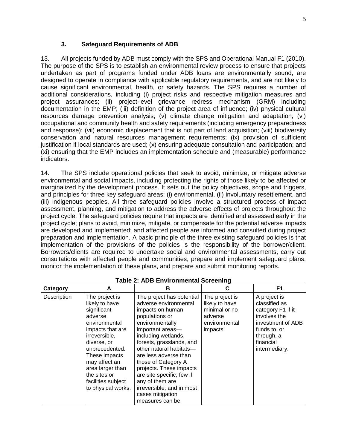13. All projects funded by ADB must comply with the SPS and Operational Manual F1 (2010). The purpose of the SPS is to establish an environmental review process to ensure that projects undertaken as part of programs funded under ADB loans are environmentally sound, are designed to operate in compliance with applicable regulatory requirements, and are not likely to cause significant environmental, health, or safety hazards. The SPS requires a number of additional considerations, including (i) project risks and respective mitigation measures and project assurances; (ii) project-level grievance redress mechanism (GRM) including documentation in the EMP; (iii) definition of the project area of influence; (iv) physical cultural resources damage prevention analysis; (v) climate change mitigation and adaptation; (vi) occupational and community health and safety requirements (including emergency preparedness and response); (vii) economic displacement that is not part of land acquisition; (viii) biodiversity conservation and natural resources management requirements; (ix) provision of sufficient justification if local standards are used; (x) ensuring adequate consultation and participation; and (xi) ensuring that the EMP includes an implementation schedule and (measurable) performance indicators.

14. The SPS include operational policies that seek to avoid, minimize, or mitigate adverse environmental and social impacts, including protecting the rights of those likely to be affected or marginalized by the development process. It sets out the policy objectives, scope and triggers, and principles for three key safeguard areas: (i) environmental, (ii) involuntary resettlement, and (iii) indigenous peoples. All three safeguard policies involve a structured process of impact assessment, planning, and mitigation to address the adverse effects of projects throughout the project cycle. The safeguard policies require that impacts are identified and assessed early in the project cycle; plans to avoid, minimize, mitigate, or compensate for the potential adverse impacts are developed and implemented; and affected people are informed and consulted during project preparation and implementation. A basic principle of the three existing safeguard policies is that implementation of the provisions of the policies is the responsibility of the borrower/client. Borrowers/clients are required to undertake social and environmental assessments, carry out consultations with affected people and communities, prepare and implement safeguard plans, monitor the implementation of these plans, and prepare and submit monitoring reports.

| Category    | A                                                                                                                                                                                                                                                                   | в                                                                                                                                                                                                                                                                                                                                                                                                            | C                                                                                         | F <sub>1</sub>                                                                                                                                      |
|-------------|---------------------------------------------------------------------------------------------------------------------------------------------------------------------------------------------------------------------------------------------------------------------|--------------------------------------------------------------------------------------------------------------------------------------------------------------------------------------------------------------------------------------------------------------------------------------------------------------------------------------------------------------------------------------------------------------|-------------------------------------------------------------------------------------------|-----------------------------------------------------------------------------------------------------------------------------------------------------|
| Description | The project is<br>likely to have<br>significant<br>adverse<br>environmental<br>impacts that are<br>irreversible,<br>diverse, or<br>unprecedented.<br>These impacts<br>may affect an<br>area larger than<br>the sites or<br>facilities subject<br>to physical works. | The project has potential<br>adverse environmental<br>impacts on human<br>populations or<br>environmentally<br>important areas-<br>including wetlands,<br>forests, grasslands, and<br>other natural habitats-<br>are less adverse than<br>those of Category A<br>projects. These impacts<br>are site specific; few if<br>any of them are<br>irreversible; and in most<br>cases mitigation<br>measures can be | The project is<br>likely to have<br>minimal or no<br>adverse<br>environmental<br>impacts. | A project is<br>classified as<br>category F1 if it<br>involves the<br>investment of ADB<br>funds to, or<br>through, a<br>financial<br>intermediary. |

**Table 2: ADB Environmental Screening**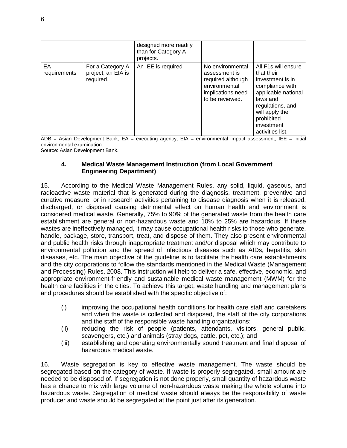|                    |                                                     | designed more readily<br>than for Category A<br>projects. |                                                                                                                 |                                                                                                                                                                                                   |
|--------------------|-----------------------------------------------------|-----------------------------------------------------------|-----------------------------------------------------------------------------------------------------------------|---------------------------------------------------------------------------------------------------------------------------------------------------------------------------------------------------|
| ЕA<br>requirements | For a Category A<br>project, an EIA is<br>required. | An IEE is required                                        | No environmental<br>assessment is<br>required although<br>environmental<br>implications need<br>to be reviewed. | All F1s will ensure<br>that their<br>investment is in<br>compliance with<br>applicable national<br>laws and<br>regulations, and<br>will apply the<br>prohibited<br>investment<br>activities list. |

 $\overline{ADB}$  = Asian Development Bank, EA = executing agency, EIA = environmental impact assessment, IEE = initial environmental examination.

Source: Asian Development Bank.

## **4. Medical Waste Management Instruction (from Local Government Engineering Department)**

15. According to the Medical Waste Management Rules, any solid, liquid, gaseous, and radioactive waste material that is generated during the diagnosis, treatment, preventive and curative measure, or in research activities pertaining to disease diagnosis when it is released, discharged, or disposed causing detrimental effect on human health and environment is considered medical waste. Generally, 75% to 90% of the generated waste from the health care establishment are general or non-hazardous waste and 10% to 25% are hazardous. If these wastes are ineffectively managed, it may cause occupational health risks to those who generate, handle, package, store, transport, treat, and dispose of them. They also present environmental and public health risks through inappropriate treatment and/or disposal which may contribute to environmental pollution and the spread of infectious diseases such as AIDs, hepatitis, skin diseases, etc. The main objective of the guideline is to facilitate the health care establishments and the city corporations to follow the standards mentioned in the Medical Waste (Management and Processing) Rules, 2008. This instruction will help to deliver a safe, effective, economic, and appropriate environment-friendly and sustainable medical waste management (MWM) for the health care facilities in the cities. To achieve this target, waste handling and management plans and procedures should be established with the specific objective of:

- (i) improving the occupational health conditions for health care staff and caretakers and when the waste is collected and disposed, the staff of the city corporations and the staff of the responsible waste handling organizations;
- (ii) reducing the risk of people (patients, attendants, visitors, general public, scavengers, etc.) and animals (stray dogs, cattle, pet, etc.); and
- (iii) establishing and operating environmentally sound treatment and final disposal of hazardous medical waste.

16. Waste segregation is key to effective waste management. The waste should be segregated based on the category of waste. If waste is properly segregated, small amount are needed to be disposed of. If segregation is not done properly, small quantity of hazardous waste has a chance to mix with large volume of non-hazardous waste making the whole volume into hazardous waste. Segregation of medical waste should always be the responsibility of waste producer and waste should be segregated at the point just after its generation.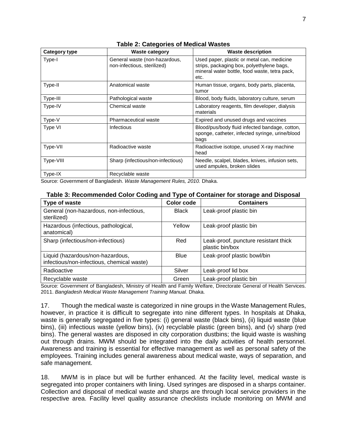| <b>Category type</b>        | <b>Waste category</b>                                        | <b>Waste description</b>                                                                                                                         |
|-----------------------------|--------------------------------------------------------------|--------------------------------------------------------------------------------------------------------------------------------------------------|
| Type-I                      | General waste (non-hazardous,<br>non-infectious, sterilized) | Used paper, plastic or metal can, medicine<br>strips, packaging box, polyethylene bags,<br>mineral water bottle, food waste, tetra pack,<br>etc. |
| Type-II<br>Anatomical waste |                                                              | Human tissue, organs, body parts, placenta,<br>tumor                                                                                             |
| Type-III                    | Pathological waste                                           | Blood, body fluids, laboratory culture, serum                                                                                                    |
| Type-IV                     | Chemical waste                                               | Laboratory reagents, film developer, dialysis<br>materials                                                                                       |
| Type-V                      | Pharmaceutical waste                                         | Expired and unused drugs and vaccines                                                                                                            |
| Type VI                     | Infectious                                                   | Blood/pus/body fluid infected bandage, cotton,<br>sponge, catheter, infected syringe, urine/blood<br>bags                                        |
| Type-VII                    | Radioactive waste                                            | Radioactive isotope, unused X-ray machine<br>head                                                                                                |
| Type-VIII                   | Sharp (infectious/non-infectious)                            | Needle, scalpel, blades, knives, infusion sets,<br>used ampules, broken slides                                                                   |
| Type-IX                     | Recyclable waste                                             |                                                                                                                                                  |

Source: Government of Bangladesh. *Waste Management Rules, 2010.* Dhaka.

#### **Table 3: Recommended Color Coding and Type of Container for storage and Disposal**

| Type of waste                                                                  | Color code   | <b>Containers</b>                                       |
|--------------------------------------------------------------------------------|--------------|---------------------------------------------------------|
| General (non-hazardous, non-infectious,<br>sterilized)                         | <b>Black</b> | Leak-proof plastic bin                                  |
| Hazardous (infectious, pathological,<br>anatomical)                            | Yellow       | Leak-proof plastic bin                                  |
| Sharp (infectious/non-infectious)                                              | Red          | Leak-proof, puncture resistant thick<br>plastic bin/box |
| Liquid (hazardous/non-hazardous,<br>infectious/non-infectious, chemical waste) | Blue         | Leak-proof plastic bowl/bin                             |
| Radioactive                                                                    | Silver       | Leak-proof lid box                                      |
| Recyclable waste                                                               | Green        | Leak-proof plastic bin                                  |

Source: Government of Bangladesh, Ministry of Health and Family Welfare, Directorate General of Health Services. 2011. *Bangladesh Medical Waste Management Training Manual.* Dhaka.

17. Though the medical waste is categorized in nine groups in the Waste Management Rules, however, in practice it is difficult to segregate into nine different types. In hospitals at Dhaka, waste is generally segregated in five types: (i) general waste (black bins), (ii) liquid waste (blue bins), (iii) infectious waste (yellow bins), (iv) recyclable plastic (green bins), and (v) sharp (red bins). The general wastes are disposed in city corporation dustbins; the liquid waste is washing out through drains. MWM should be integrated into the daily activities of health personnel. Awareness and training is essential for effective management as well as personal safety of the employees. Training includes general awareness about medical waste, ways of separation, and safe management.

18. MWM is in place but will be further enhanced. At the facility level, medical waste is segregated into proper containers with lining. Used syringes are disposed in a sharps container. Collection and disposal of medical waste and sharps are through local service providers in the respective area. Facility level quality assurance checklists include monitoring on MWM and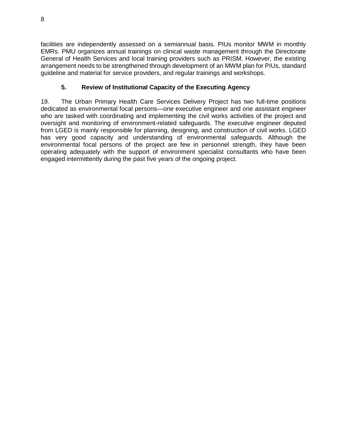facilities are independently assessed on a semiannual basis. PIUs monitor MWM in monthly EMRs. PMU organizes annual trainings on clinical waste management through the Directorate General of Health Services and local training providers such as PRISM. However, the existing arrangement needs to be strengthened through development of an MWM plan for PIUs, standard guideline and material for service providers, and regular trainings and workshops.

# **5. Review of Institutional Capacity of the Executing Agency**

19. The Urban Primary Health Care Services Delivery Project has two full-time positions dedicated as environmental focal persons—one executive engineer and one assistant engineer who are tasked with coordinating and implementing the civil works activities of the project and oversight and monitoring of environment-related safeguards. The executive engineer deputed from LGED is mainly responsible for planning, designing, and construction of civil works. LGED has very good capacity and understanding of environmental safeguards. Although the environmental focal persons of the project are few in personnel strength, they have been operating adequately with the support of environment specialist consultants who have been engaged intermittently during the past five years of the ongoing project.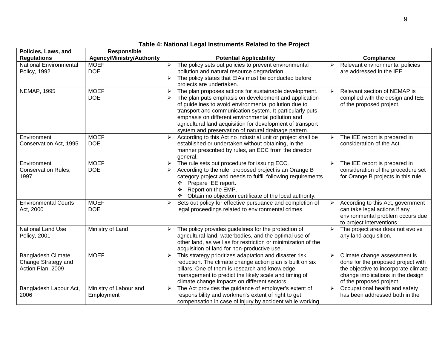| Policies, Laws, and                                                   | Responsible                          |                                                                                                                                                                                                                                                                                                                                                                                                                           |                                                                                                                                                                                                      |
|-----------------------------------------------------------------------|--------------------------------------|---------------------------------------------------------------------------------------------------------------------------------------------------------------------------------------------------------------------------------------------------------------------------------------------------------------------------------------------------------------------------------------------------------------------------|------------------------------------------------------------------------------------------------------------------------------------------------------------------------------------------------------|
| <b>Regulations</b>                                                    | <b>Agency/Ministry/Authority</b>     | <b>Potential Applicability</b>                                                                                                                                                                                                                                                                                                                                                                                            | Compliance                                                                                                                                                                                           |
| <b>National Environmental</b><br><b>Policy, 1992</b>                  | <b>MOEF</b><br><b>DOE</b>            | The policy sets out policies to prevent environmental<br>$\blacktriangleright$<br>pollution and natural resource degradation.<br>$\blacktriangleright$<br>The policy states that EIAs must be conducted before<br>projects are undertaken.                                                                                                                                                                                | Relevant environmental policies<br>$\blacktriangleright$<br>are addressed in the IEE.                                                                                                                |
| <b>NEMAP, 1995</b>                                                    | <b>MOEF</b><br><b>DOE</b>            | The plan proposes actions for sustainable development.<br>➤<br>The plan puts emphasis on development and application<br>➤<br>of guidelines to avoid environmental pollution due to<br>transport and communication system. It particularly puts<br>emphasis on different environmental pollution and<br>agricultural land acquisition for development of transport<br>system and preservation of natural drainage pattern. | Relevant section of NEMAP is<br>$\blacktriangleright$<br>complied with the design and IEE<br>of the proposed project.                                                                                |
| Environment<br>Conservation Act, 1995                                 | <b>MOEF</b><br><b>DOE</b>            | According to this Act no industrial unit or project shall be<br>➤<br>established or undertaken without obtaining, in the<br>manner prescribed by rules, an ECC from the director<br>general.                                                                                                                                                                                                                              | The IEE report is prepared in<br>➤<br>consideration of the Act.                                                                                                                                      |
| Environment<br>Conservation Rules,<br>1997                            | <b>MOEF</b><br><b>DOE</b>            | The rule sets out procedure for issuing ECC.<br>➤<br>According to the rule, proposed project is an Orange B<br>category project and needs to fulfill following requirements<br>Prepare IEE report.<br>❖<br>Report on the EMP.<br>❖<br>* Obtain no objection certificate of the local authority.                                                                                                                           | The IEE report is prepared in<br>➤<br>consideration of the procedure set<br>for Orange B projects in this rule.                                                                                      |
| <b>Environmental Courts</b><br>Act, 2000                              | <b>MOEF</b><br><b>DOE</b>            | Sets out policy for effective pursuance and completion of<br>≻<br>legal proceedings related to environmental crimes.                                                                                                                                                                                                                                                                                                      | According to this Act, government<br>$\blacktriangleright$<br>can take legal actions if any<br>environmental problem occurs due<br>to project interventions.                                         |
| <b>National Land Use</b><br>Policy, 2001                              | Ministry of Land                     | The policy provides guidelines for the protection of<br>➤<br>agricultural land, waterbodies, and the optimal use of<br>other land, as well as for restriction or minimization of the<br>acquisition of land for non-productive use.                                                                                                                                                                                       | The project area does not evolve<br>$\blacktriangleright$<br>any land acquisition.                                                                                                                   |
| <b>Bangladesh Climate</b><br>Change Strategy and<br>Action Plan, 2009 | <b>MOEF</b>                          | This strategy prioritizes adaptation and disaster risk<br>reduction. The climate change action plan is built on six<br>pillars. One of them is research and knowledge<br>management to predict the likely scale and timing of<br>climate change impacts on different sectors.                                                                                                                                             | $\blacktriangleright$<br>Climate change assessment is<br>done for the proposed project with<br>the objective to incorporate climate<br>change implications in the design<br>of the proposed project. |
| Bangladesh Labour Act,<br>2006                                        | Ministry of Labour and<br>Employment | The Act provides the guidance of employer's extent of<br>➤<br>responsibility and workmen's extent of right to get<br>compensation in case of injury by accident while working.                                                                                                                                                                                                                                            | Occupational health and safety<br>$\blacktriangleright$<br>has been addressed both in the                                                                                                            |

**Table 4: National Legal Instruments Related to the Project**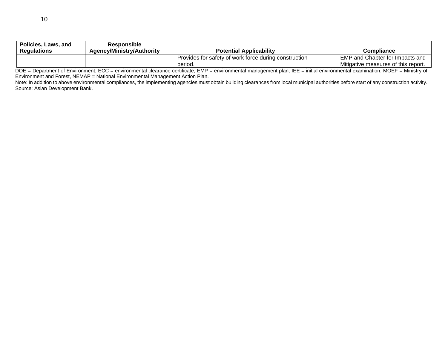| Policies, Laws, and | Responsible               |                                                       |                                     |
|---------------------|---------------------------|-------------------------------------------------------|-------------------------------------|
| <b>Regulations</b>  | Agency/Ministry/Authority | <b>Potential Applicability</b>                        | Compliance                          |
|                     |                           | Provides for safety of work force during construction | EMP and Chapter for Impacts and     |
|                     |                           | period.                                               | Mitigative measures of this report. |

DOE = Department of Environment, ECC = environmental clearance certificate, EMP = environmental management plan, IEE = initial environmental examination, MOEF = Ministry of Environment and Forest, NEMAP = National Environmental Management Action Plan.

Note: In addition to above environmental compliances, the implementing agencies must obtain building clearances from local municipal authorities before start of any construction activity. Source: Asian Development Bank.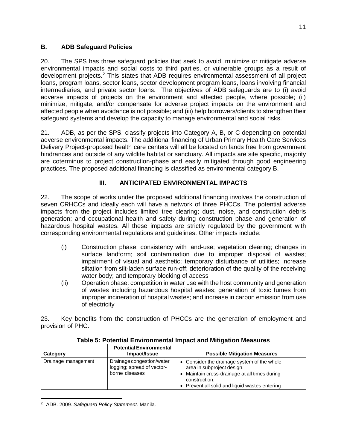## <span id="page-14-0"></span>**B. ADB Safeguard Policies**

20. The SPS has three safeguard policies that seek to avoid, minimize or mitigate adverse environmental impacts and social costs to third parties, or vulnerable groups as a result of development projects.[2](#page-14-2) This states that ADB requires environmental assessment of all project loans, program loans, sector loans, sector development program loans, loans involving financial intermediaries, and private sector loans. The objectives of ADB safeguards are to (i) avoid adverse impacts of projects on the environment and affected people, where possible; (ii) minimize, mitigate, and/or compensate for adverse project impacts on the environment and affected people when avoidance is not possible; and (iii) help borrowers/clients to strengthen their safeguard systems and develop the capacity to manage environmental and social risks.

21. ADB, as per the SPS, classify projects into Category A, B, or C depending on potential adverse environmental impacts. The additional financing of Urban Primary Health Care Services Delivery Project-proposed health care centers will all be located on lands free from government hindrances and outside of any wildlife habitat or sanctuary. All impacts are site specific, majority are coterminus to project construction-phase and easily mitigated through good engineering practices. The proposed additional financing is classified as environmental category B.

# **III. ANTICIPATED ENVIRONMENTAL IMPACTS**

<span id="page-14-1"></span>22. The scope of works under the proposed additional financing involves the construction of seven CRHCCs and ideally each will have a network of three PHCCs. The potential adverse impacts from the project includes limited tree clearing; dust, noise, and construction debris generation; and occupational health and safety during construction phase and generation of hazardous hospital wastes. All these impacts are strictly regulated by the government with corresponding environmental regulations and guidelines. Other impacts include:

- (i) Construction phase: consistency with land-use; vegetation clearing; changes in surface landform; soil contamination due to improper disposal of wastes; impairment of visual and aesthetic; temporary disturbance of utilities; increase siltation from silt-laden surface run-off; deterioration of the quality of the receiving water body; and temporary blocking of access
- (ii) Operation phase: competition in water use with the host community and generation of wastes including hazardous hospital wastes; generation of toxic fumes from improper incineration of hospital wastes; and increase in carbon emission from use of electricity

23. Key benefits from the construction of PHCCs are the generation of employment and provision of PHC.

| Category            | <b>Potential Environmental</b><br>Impact/Issue                            | <b>Possible Mitigation Measures</b>                                                                                                                                                         |
|---------------------|---------------------------------------------------------------------------|---------------------------------------------------------------------------------------------------------------------------------------------------------------------------------------------|
| Drainage management | Drainage congestion/water<br>logging; spread of vector-<br>borne diseases | • Consider the drainage system of the whole<br>area in subproject design.<br>Maintain cross-drainage at all times during<br>construction.<br>• Prevent all solid and liquid wastes entering |

**Table 5: Potential Environmental Impact and Mitigation Measures**

<span id="page-14-2"></span>l <sup>2</sup> ADB. 2009. *Safeguard Policy Statement.* Manila.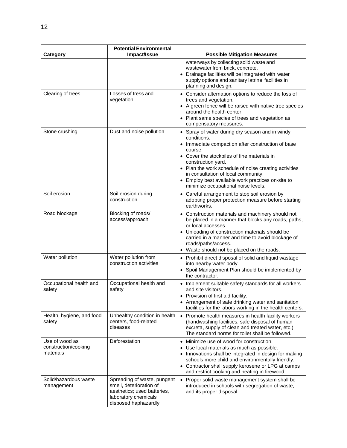| <b>Category</b>                                     | <b>Potential Environmental</b><br>Impact/Issue                                                                                        | <b>Possible Mitigation Measures</b>                                                                                                                                                                                                                                                                                                                                                           |
|-----------------------------------------------------|---------------------------------------------------------------------------------------------------------------------------------------|-----------------------------------------------------------------------------------------------------------------------------------------------------------------------------------------------------------------------------------------------------------------------------------------------------------------------------------------------------------------------------------------------|
|                                                     |                                                                                                                                       | waterways by collecting solid waste and<br>wastewater from brick, concrete.<br>• Drainage facilities will be integrated with water<br>supply options and sanitary latrine facilities in<br>planning and design.                                                                                                                                                                               |
| Clearing of trees                                   | Losses of tress and<br>vegetation                                                                                                     | • Consider alternation options to reduce the loss of<br>trees and vegetation.<br>• A green fence will be raised with native tree species<br>around the health center.<br>• Plant same species of trees and vegetation as<br>compensatory measures.                                                                                                                                            |
| Stone crushing                                      | Dust and noise pollution                                                                                                              | • Spray of water during dry season and in windy<br>conditions.<br>Immediate compaction after construction of base<br>course.<br>• Cover the stockpiles of fine materials in<br>construction yard.<br>• Plan the work schedule of noise creating activities<br>in consultation of local community.<br>• Employ best available work practices on-site to<br>minimize occupational noise levels. |
| Soil erosion                                        | Soil erosion during<br>construction                                                                                                   | Careful arrangement to stop soil erosion by<br>adopting proper protection measure before starting<br>earthworks.                                                                                                                                                                                                                                                                              |
| Road blockage                                       | Blocking of roads/<br>access/approach                                                                                                 | • Construction materials and machinery should not<br>be placed in a manner that blocks any roads, paths,<br>or local accesses.<br>Unloading of construction materials should be<br>carried in a manner and time to avoid blockage of<br>roads/paths/access.<br>• Waste should not be placed on the roads.                                                                                     |
| Water pollution                                     | Water pollution from<br>construction activities                                                                                       | • Prohibit direct disposal of solid and liquid wastage<br>into nearby water body.<br>• Spoil Management Plan should be implemented by<br>the contractor.                                                                                                                                                                                                                                      |
| Occupational health and<br>safety                   | Occupational health and<br>safety                                                                                                     | • Implement suitable safety standards for all workers<br>and site visitors.<br>Provision of first aid facility.<br>• Arrangement of safe drinking water and sanitation<br>facilities for the labors working in the health centers.                                                                                                                                                            |
| Health, hygiene, and food<br>safety                 | Unhealthy condition in health<br>centers, food-related<br>diseases                                                                    | • Promote health measures in health facility workers<br>(handwashing facilities, safe disposal of human<br>excreta, supply of clean and treated water, etc.).<br>The standard norms for toilet shall be followed.                                                                                                                                                                             |
| Use of wood as<br>construction/cooking<br>materials | Deforestation                                                                                                                         | Minimize use of wood for construction.<br>Use local materials as much as possible.<br>$\bullet$<br>• Innovations shall be integrated in design for making<br>schools more child and environmentally friendly.<br>• Contractor shall supply kerosene or LPG at camps<br>and restrict cooking and heating in firewood.                                                                          |
| Solid/hazardous waste<br>management                 | Spreading of waste, pungent<br>smell, deterioration of<br>aesthetics; used batteries,<br>laboratory chemicals<br>disposed haphazardly | Proper solid waste management system shall be<br>$\bullet$<br>introduced in schools with segregation of waste,<br>and its proper disposal.                                                                                                                                                                                                                                                    |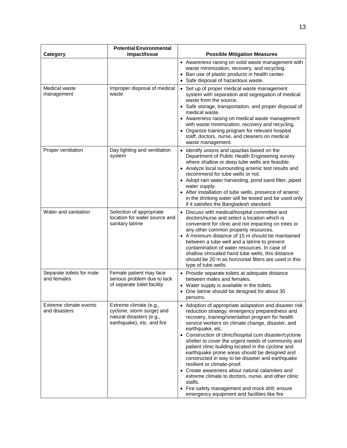| Category                                 | <b>Potential Environmental</b><br>Impact/Issue                                                                | <b>Possible Mitigation Measures</b>                                                                                                                                                                                                                                                                                                                                                                                                                                                                                                                                                                                                                                                                                                                                     |
|------------------------------------------|---------------------------------------------------------------------------------------------------------------|-------------------------------------------------------------------------------------------------------------------------------------------------------------------------------------------------------------------------------------------------------------------------------------------------------------------------------------------------------------------------------------------------------------------------------------------------------------------------------------------------------------------------------------------------------------------------------------------------------------------------------------------------------------------------------------------------------------------------------------------------------------------------|
|                                          |                                                                                                               | • Awareness raising on solid waste management with<br>waste minimization, recovery, and recycling.<br>Ban use of plastic products in health center.<br>Safe disposal of hazardous waste.                                                                                                                                                                                                                                                                                                                                                                                                                                                                                                                                                                                |
| Medical waste<br>management              | Improper disposal of medical<br>waste                                                                         | • Set up of proper medical waste management<br>system with separation and segregation of medical<br>waste from the source.<br>• Safe storage, transportation, and proper disposal of<br>medical waste.<br>• Awareness raising on medical waste management<br>with waste minimization, recovery and recycling.<br>• Organize training program for relevant hospital<br>staff, doctors, nurse, and cleaners on medical<br>waste management.                                                                                                                                                                                                                                                                                                                               |
| Proper ventilation                       | Day lighting and ventilation<br>system                                                                        | Identify unions and upazilas based on the<br>Department of Public Health Engineering survey<br>where shallow or deep tube wells are feasible.<br>• Analyze local surrounding arsenic test results and<br>recommend for tube wells or not.<br>• Adopt rain water harvesting, pond sand filter, piped<br>water supply.<br>• After installation of tube wells, presence of arsenic<br>in the drinking water will be tested and be used only<br>if it satisfies the Bangladesh standard.                                                                                                                                                                                                                                                                                    |
| Water and sanitation                     | Selection of appropriate<br>location for water source and<br>sanitary latrine                                 | Discuss with medical/hospital committee and<br>doctors/nurse and select a location which is<br>convenient for clinic and not impacting on trees or<br>any other common property resources.<br>• A minimum distance of 15 m should be maintained<br>between a tube well and a latrine to prevent<br>contamination of water resources. In case of<br>shallow shrouded hand tube wells, this distance<br>should be 20 m as horizontal filters are used in this<br>type of tube wells.                                                                                                                                                                                                                                                                                      |
| Separate toilets for male<br>and females | Female patient may face<br>serious problem due to lack<br>of separate toilet facility                         | • Provide separate toilets at adequate distance<br>between males and females.<br>Water supply is available in the toilets.<br>One latrine should be designed for about 30<br>persons.                                                                                                                                                                                                                                                                                                                                                                                                                                                                                                                                                                                   |
| Extreme climate events<br>and disasters  | Extreme climate (e.g.,<br>cyclone, storm surge) and<br>natural disasters (e.g.,<br>earthquake), etc. and fire | • Adoption of appropriate adaptation and disaster risk<br>reduction strategy, emergency preparedness and<br>recovery, training/orientation program for health<br>service workers on climate change, disaster, and<br>earthquake, etc.<br>• Construction of clinic/hospital cum disaster/cyclone<br>shelter to cover the urgent needs of community and<br>patient clinic building located in the cyclone and<br>earthquake prone areas should be designed and<br>constructed in way to be disaster and earthquake<br>resilient or climate-proof.<br>• Create awareness about natural calamities and<br>extreme climate to doctors, nurse, and other clinic<br>staffs.<br>• Fire safety management and mock drill; ensure<br>emergency equipment and facilities like fire |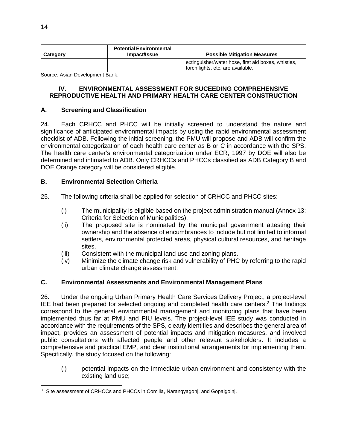| Category | <b>Potential Environmental</b><br>Impact/Issue | <b>Possible Mitigation Measures</b>                                                      |
|----------|------------------------------------------------|------------------------------------------------------------------------------------------|
|          |                                                | extinguisher/water hose, first aid boxes, whistles,<br>torch lights, etc. are available. |

Source: Asian Development Bank.

## <span id="page-17-0"></span>**IV. ENVIRONMENTAL ASSESSMENT FOR SUCEEDING COMPREHENSIVE REPRODUCTIVE HEALTH AND PRIMARY HEALTH CARE CENTER CONSTRUCTION**

## **A. Screening and Classification**

24. Each CRHCC and PHCC will be initially screened to understand the nature and significance of anticipated environmental impacts by using the rapid environmental assessment checklist of ADB. Following the initial screening, the PMU will propose and ADB will confirm the environmental categorization of each health care center as B or C in accordance with the SPS. The health care center's environmental categorization under ECR, 1997 by DOE will also be determined and intimated to ADB. Only CRHCCs and PHCCs classified as ADB Category B and DOE Orange category will be considered eligible.

## <span id="page-17-1"></span>**B. Environmental Selection Criteria**

- 25. The following criteria shall be applied for selection of CRHCC and PHCC sites:
	- (i) The municipality is eligible based on the project administration manual (Annex 13: Criteria for Selection of Municipalities).
	- (ii) The proposed site is nominated by the municipal government attesting their ownership and the absence of encumbrances to include but not limited to informal settlers, environmental protected areas, physical cultural resources, and heritage sites.
	- (iii) Consistent with the municipal land use and zoning plans.
	- (iv) Minimize the climate change risk and vulnerability of PHC by referring to the rapid urban climate change assessment.

### <span id="page-17-2"></span>**C. Environmental Assessments and Environmental Management Plans**

26. Under the ongoing Urban Primary Health Care Services Delivery Project, a project-level IEE had been prepared for selected ongoing and completed health care centers.<sup>[3](#page-17-3)</sup> The findings correspond to the general environmental management and monitoring plans that have been implemented thus far at PMU and PIU levels. The project-level IEE study was conducted in accordance with the requirements of the SPS, clearly identifies and describes the general area of impact, provides an assessment of potential impacts and mitigation measures, and involved public consultations with affected people and other relevant stakeholders. It includes a comprehensive and practical EMP, and clear institutional arrangements for implementing them. Specifically, the study focused on the following:

(i) potential impacts on the immediate urban environment and consistency with the existing land use;

 $\overline{a}$ 

<span id="page-17-3"></span><sup>&</sup>lt;sup>3</sup> Site assessment of CRHCCs and PHCCs in Comilla, Narangyagonj, and Gopalgoinj.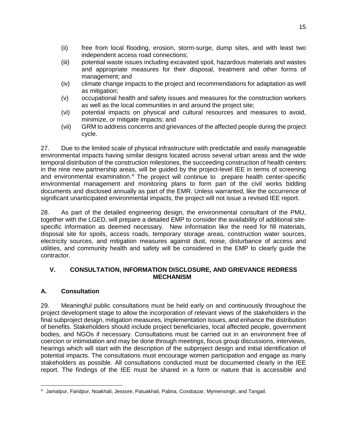- (ii) free from local flooding, erosion, storm-surge, dump sites, and with least two independent access road connections;
- (iii) potential waste issues including excavated spoil, hazardous materials and wastes and appropriate measures for their disposal, treatment and other forms of management; and
- (iv) climate change impacts to the project and recommendations for adaptation as well as mitigation;
- (v) occupational health and safety issues and measures for the construction workers as well as the local communities in and around the project site;
- (vi) potential impacts on physical and cultural resources and measures to avoid, minimize, or mitigate impacts; and
- (vii) GRM to address concerns and grievances of the affected people during the project cycle.

27. Due to the limited scale of physical infrastructure with predictable and easily manageable environmental impacts having similar designs located across several urban areas and the wide temporal distribution of the construction milestones, the succeeding construction of health centers in the nine new partnership areas, will be guided by the project-level IEE in terms of screening and environmental examination. [4](#page-18-1) The project will continue to prepare health center-specific environmental management and monitoring plans to form part of the civil works bidding documents and disclosed annually as part of the EMR. Unless warranted, like the occurrence of significant unanticipated environmental impacts, the project will not issue a revised IEE report.

28. As part of the detailed engineering design, the environmental consultant of the PMU, together with the LGED, will prepare a detailed EMP to consider the availability of additional sitespecific information as deemed necessary. New information like the need for fill materials, disposal site for spoils, access roads, temporary storage areas, construction water sources, electricity sources, and mitigation measures against dust, noise, disturbance of access and utilities, and community health and safety will be considered in the EMP to clearly guide the contractor.

## <span id="page-18-0"></span>**V. CONSULTATION, INFORMATION DISCLOSURE, AND GRIEVANCE REDRESS MECHANISM**

## **A. Consultation**

29. Meaningful public consultations must be held early on and continuously throughout the project development stage to allow the incorporation of relevant views of the stakeholders in the final subproject design, mitigation measures, implementation issues, and enhance the distribution of benefits. Stakeholders should include project beneficiaries, local affected people, government bodies, and NGOs if necessary. Consultations must be carried out in an environment free of coercion or intimidation and may be done through meetings, focus group discussions, interviews, hearings which will start with the description of the subproject design and initial identification of potential impacts. The consultations must encourage women participation and engage as many stakeholders as possible. All consultations conducted must be documented clearly in the IEE report. The findings of the IEE must be shared in a form or nature that is accessible and

<span id="page-18-1"></span> $\overline{a}$ <sup>4</sup> Jamalpur, Faridpur, Noakhali, Jessore, Patuakhali, Pabna, Coxsbazar, Mymensingh, and Tangail.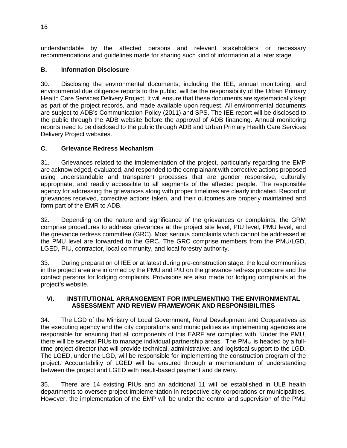understandable by the affected persons and relevant stakeholders or necessary recommendations and guidelines made for sharing such kind of information at a later stage.

## <span id="page-19-0"></span>**B. Information Disclosure**

30. Disclosing the environmental documents, including the IEE, annual monitoring, and environmental due diligence reports to the public, will be the responsibility of the Urban Primary Health Care Services Delivery Project. It will ensure that these documents are systematically kept as part of the project records, and made available upon request. All environmental documents are subject to ADB's Communication Policy (2011) and SPS. The IEE report will be disclosed to the public through the ADB website before the approval of ADB financing. Annual monitoring reports need to be disclosed to the public through ADB and Urban Primary Health Care Services Delivery Project websites.

## <span id="page-19-1"></span>**C. Grievance Redress Mechanism**

31. Grievances related to the implementation of the project, particularly regarding the EMP are acknowledged, evaluated, and responded to the complainant with corrective actions proposed using understandable and transparent processes that are gender responsive, culturally appropriate, and readily accessible to all segments of the affected people. The responsible agency for addressing the grievances along with proper timelines are clearly indicated. Record of grievances received, corrective actions taken, and their outcomes are properly maintained and form part of the EMR to ADB.

32. Depending on the nature and significance of the grievances or complaints, the GRM comprise procedures to address grievances at the project site level, PIU level, PMU level, and the grievance redress committee (GRC). Most serious complaints which cannot be addressed at the PMU level are forwarded to the GRC. The GRC comprise members from the PMU/LGD, LGED, PIU, contractor, local community, and local forestry authority.

33. During preparation of IEE or at latest during pre-construction stage, the local communities in the project area are informed by the PMU and PIU on the grievance redress procedure and the contact persons for lodging complaints. Provisions are also made for lodging complaints at the project's website.

### <span id="page-19-2"></span>**VI. INSTITUTIONAL ARRANGEMENT FOR IMPLEMENTING THE ENVIRONMENTAL ASSESSMENT AND REVIEW FRAMEWORK AND RESPONSIBILITIES**

34. The LGD of the Ministry of Local Government, Rural Development and Cooperatives as the executing agency and the city corporations and municipalities as implementing agencies are responsible for ensuring that all components of this EARF are complied with. Under the PMU, there will be several PIUs to manage individual partnership areas. The PMU is headed by a fulltime project director that will provide technical, administrative, and logistical support to the LGD. The LGED, under the LGD, will be responsible for implementing the construction program of the project. Accountability of LGED will be ensured through a memorandum of understanding between the project and LGED with result-based payment and delivery.

35. There are 14 existing PIUs and an additional 11 will be established in ULB health departments to oversee project implementation in respective city corporations or municipalities. However, the implementation of the EMP will be under the control and supervision of the PMU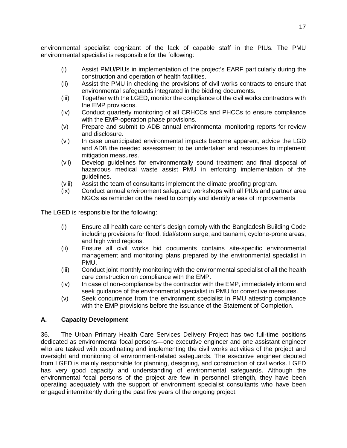environmental specialist cognizant of the lack of capable staff in the PIUs. The PMU environmental specialist is responsible for the following:

- (i) Assist PMU/PIUs in implementation of the project's EARF particularly during the construction and operation of health facilities.
- (ii) Assist the PMU in checking the provisions of civil works contracts to ensure that environmental safeguards integrated in the bidding documents.
- (iii) Together with the LGED, monitor the compliance of the civil works contractors with the EMP provisions.
- (iv) Conduct quarterly monitoring of all CRHCCs and PHCCs to ensure compliance with the EMP-operation phase provisions.
- (v) Prepare and submit to ADB annual environmental monitoring reports for review and disclosure.
- (vi) In case unanticipated environmental impacts become apparent, advice the LGD and ADB the needed assessment to be undertaken and resources to implement mitigation measures.
- (vii) Develop guidelines for environmentally sound treatment and final disposal of hazardous medical waste assist PMU in enforcing implementation of the guidelines.
- (viii) Assist the team of consultants implement the climate proofing program.
- (ix) Conduct annual environment safeguard workshops with all PIUs and partner area NGOs as reminder on the need to comply and identify areas of improvements

The LGED is responsible for the following:

- (i) Ensure all health care center's design comply with the Bangladesh Building Code including provisions for flood, tidal/storm surge, and tsunami; cyclone-prone areas; and high wind regions.
- (ii) Ensure all civil works bid documents contains site-specific environmental management and monitoring plans prepared by the environmental specialist in PMU.
- (iii) Conduct joint monthly monitoring with the environmental specialist of all the health care construction on compliance with the EMP.
- (iv) In case of non-compliance by the contractor with the EMP, immediately inform and seek guidance of the environmental specialist in PMU for corrective measures.
- (v) Seek concurrence from the environment specialist in PMU attesting compliance with the EMP provisions before the issuance of the Statement of Completion.

### <span id="page-20-0"></span>**A. Capacity Development**

36. The Urban Primary Health Care Services Delivery Project has two full-time positions dedicated as environmental focal persons—one executive engineer and one assistant engineer who are tasked with coordinating and implementing the civil works activities of the project and oversight and monitoring of environment-related safeguards. The executive engineer deputed from LGED is mainly responsible for planning, designing, and construction of civil works. LGED has very good capacity and understanding of environmental safeguards. Although the environmental focal persons of the project are few in personnel strength, they have been operating adequately with the support of environment specialist consultants who have been engaged intermittently during the past five years of the ongoing project.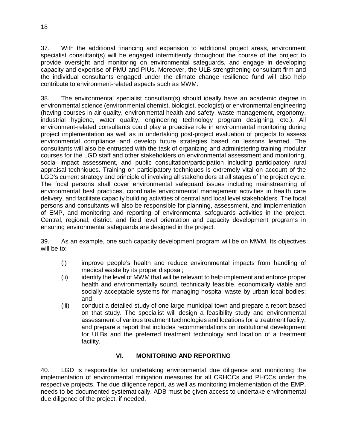37. With the additional financing and expansion to additional project areas, environment specialist consultant(s) will be engaged intermittently throughout the course of the project to provide oversight and monitoring on environmental safeguards, and engage in developing capacity and expertise of PMU and PIUs. Moreover, the ULB strengthening consultant firm and the individual consultants engaged under the climate change resilience fund will also help contribute to environment-related aspects such as MWM.

38. The environmental specialist consultant(s) should ideally have an academic degree in environmental science (environmental chemist, biologist, ecologist) or environmental engineering (having courses in air quality, environmental health and safety, waste management, ergonomy, industrial hygiene, water quality, engineering technology program designing, etc.). All environment-related consultants could play a proactive role in environmental monitoring during project implementation as well as in undertaking post-project evaluation of projects to assess environmental compliance and develop future strategies based on lessons learned. The consultants will also be entrusted with the task of organizing and administering training modular courses for the LGD staff and other stakeholders on environmental assessment and monitoring, social impact assessment, and public consultation/participation including participatory rural appraisal techniques. Training on participatory techniques is extremely vital on account of the LGD's current strategy and principle of involving all stakeholders at all stages of the project cycle. The focal persons shall cover environmental safeguard issues including mainstreaming of environmental best practices, coordinate environmental management activities in health care delivery, and facilitate capacity building activities of central and local level stakeholders. The focal persons and consultants will also be responsible for planning, assessment, and implementation of EMP, and monitoring and reporting of environmental safeguards activities in the project. Central, regional, district, and field level orientation and capacity development programs in ensuring environmental safeguards are designed in the project.

39. As an example, one such capacity development program will be on MWM. Its objectives will be to:

- (i) improve people's health and reduce environmental impacts from handling of medical waste by its proper disposal;
- (ii) identify the level of MWM that will be relevant to help implement and enforce proper health and environmentally sound, technically feasible, economically viable and socially acceptable systems for managing hospital waste by urban local bodies; and
- (iii) conduct a detailed study of one large municipal town and prepare a report based on that study. The specialist will design a feasibility study and environmental assessment of various treatment technologies and locations for a treatment facility, and prepare a report that includes recommendations on institutional development for ULBs and the preferred treatment technology and location of a treatment facility.

## <span id="page-21-0"></span>**VI. MONITORING AND REPORTING**

40. LGD is responsible for undertaking environmental due diligence and monitoring the implementation of environmental mitigation measures for all CRHCCs and PHCCs under the respective projects. The due diligence report, as well as monitoring implementation of the EMP, needs to be documented systematically. ADB must be given access to undertake environmental due diligence of the project, if needed.